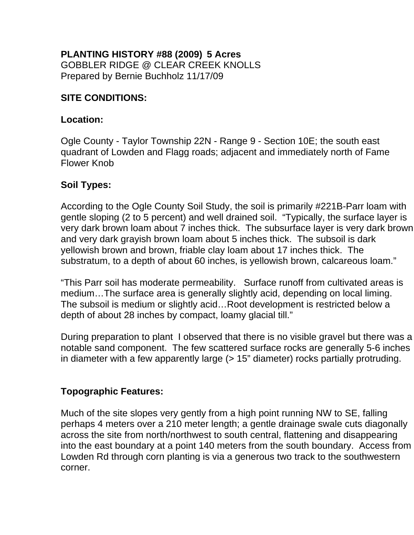#### **PLANTING HISTORY #88 (2009) 5 Acres**  GOBBLER RIDGE @ CLEAR CREEK KNOLLS Prepared by Bernie Buchholz 11/17/09

### **SITE CONDITIONS:**

#### **Location:**

Ogle County - Taylor Township 22N - Range 9 - Section 10E; the south east quadrant of Lowden and Flagg roads; adjacent and immediately north of Fame Flower Knob

### **Soil Types:**

According to the Ogle County Soil Study, the soil is primarily #221B-Parr loam with gentle sloping (2 to 5 percent) and well drained soil. "Typically, the surface layer is very dark brown loam about 7 inches thick. The subsurface layer is very dark brown and very dark grayish brown loam about 5 inches thick. The subsoil is dark yellowish brown and brown, friable clay loam about 17 inches thick. The substratum, to a depth of about 60 inches, is yellowish brown, calcareous loam."

"This Parr soil has moderate permeability. Surface runoff from cultivated areas is medium…The surface area is generally slightly acid, depending on local liming. The subsoil is medium or slightly acid…Root development is restricted below a depth of about 28 inches by compact, loamy glacial till."

During preparation to plant I observed that there is no visible gravel but there was a notable sand component. The few scattered surface rocks are generally 5-6 inches in diameter with a few apparently large (> 15" diameter) rocks partially protruding.

### **Topographic Features:**

Much of the site slopes very gently from a high point running NW to SE, falling perhaps 4 meters over a 210 meter length; a gentle drainage swale cuts diagonally across the site from north/northwest to south central, flattening and disappearing into the east boundary at a point 140 meters from the south boundary. Access from Lowden Rd through corn planting is via a generous two track to the southwestern corner.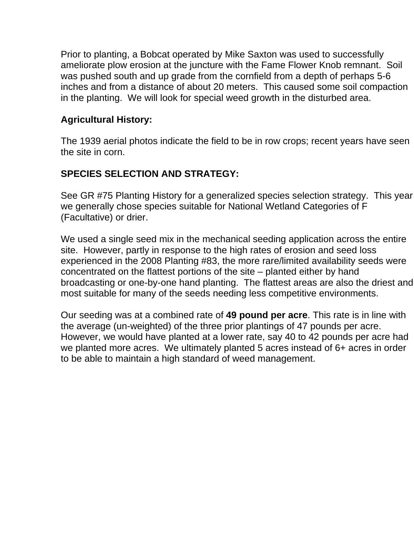Prior to planting, a Bobcat operated by Mike Saxton was used to successfully ameliorate plow erosion at the juncture with the Fame Flower Knob remnant. Soil was pushed south and up grade from the cornfield from a depth of perhaps 5-6 inches and from a distance of about 20 meters. This caused some soil compaction in the planting. We will look for special weed growth in the disturbed area.

### **Agricultural History:**

The 1939 aerial photos indicate the field to be in row crops; recent years have seen the site in corn.

## **SPECIES SELECTION AND STRATEGY:**

See GR #75 Planting History for a generalized species selection strategy. This year we generally chose species suitable for National Wetland Categories of F (Facultative) or drier.

We used a single seed mix in the mechanical seeding application across the entire site. However, partly in response to the high rates of erosion and seed loss experienced in the 2008 Planting #83, the more rare/limited availability seeds were concentrated on the flattest portions of the site – planted either by hand broadcasting or one-by-one hand planting. The flattest areas are also the driest and most suitable for many of the seeds needing less competitive environments.

Our seeding was at a combined rate of **49 pound per acre**. This rate is in line with the average (un-weighted) of the three prior plantings of 47 pounds per acre. However, we would have planted at a lower rate, say 40 to 42 pounds per acre had we planted more acres. We ultimately planted 5 acres instead of 6+ acres in order to be able to maintain a high standard of weed management.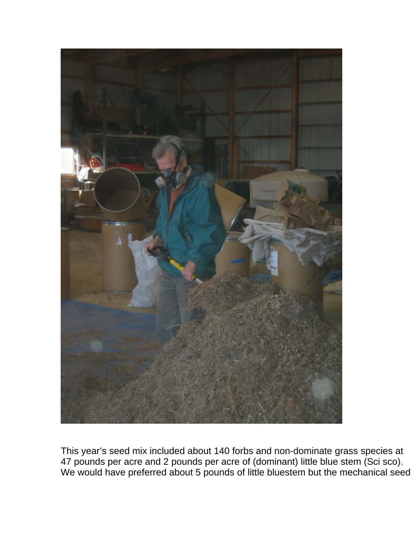

This year's seed mix included about 140 forbs and non-dominate grass species at 47 pounds per acre and 2 pounds per acre of (dominant) little blue stem (Sci sco). We would have preferred about 5 pounds of little bluestem but the mechanical seed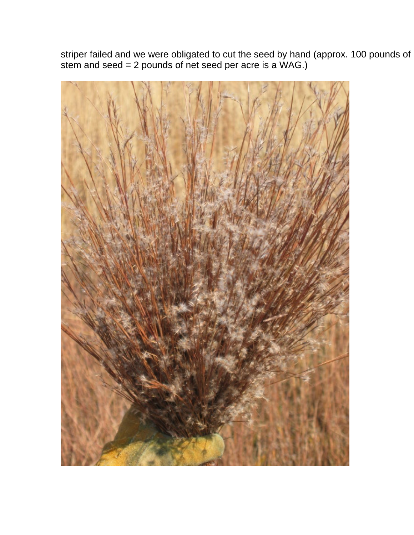striper failed and we were obligated to cut the seed by hand (approx. 100 pounds of stem and seed = 2 pounds of net seed per acre is a WAG.)

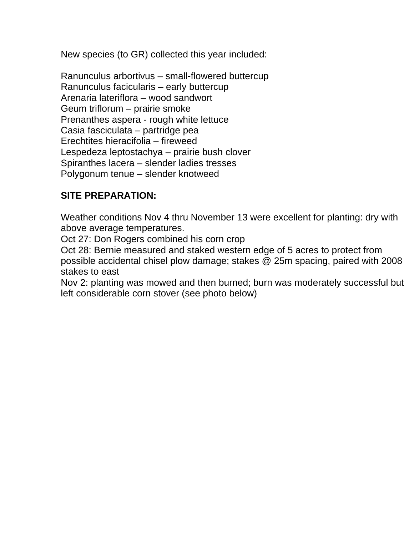New species (to GR) collected this year included:

Ranunculus arbortivus – small-flowered buttercup Ranunculus facicularis – early buttercup Arenaria lateriflora – wood sandwort Geum triflorum – prairie smoke Prenanthes aspera - rough white lettuce Casia fasciculata – partridge pea Erechtites hieracifolia – fireweed Lespedeza leptostachya – prairie bush clover Spiranthes lacera – slender ladies tresses Polygonum tenue – slender knotweed

### **SITE PREPARATION:**

Weather conditions Nov 4 thru November 13 were excellent for planting: dry with above average temperatures.

Oct 27: Don Rogers combined his corn crop

Oct 28: Bernie measured and staked western edge of 5 acres to protect from possible accidental chisel plow damage; stakes @ 25m spacing, paired with 2008 stakes to east

Nov 2: planting was mowed and then burned; burn was moderately successful but left considerable corn stover (see photo below)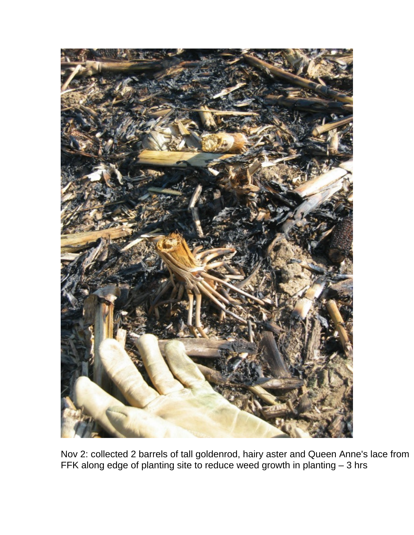

Nov 2: collected 2 barrels of tall goldenrod, hairy aster and Queen Anne's lace from FFK along edge of planting site to reduce weed growth in planting – 3 hrs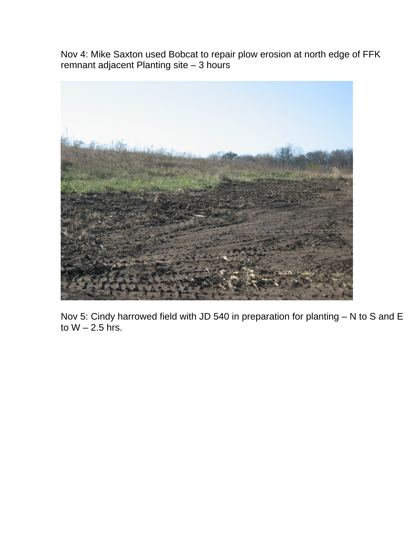Nov 4: Mike Saxton used Bobcat to repair plow erosion at north edge of FFK remnant adjacent Planting site – 3 hours



Nov 5: Cindy harrowed field with JD 540 in preparation for planting – N to S and E to  $W - 2.5$  hrs.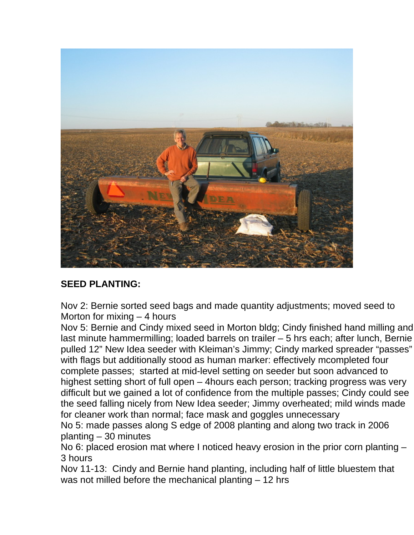

# **SEED PLANTING:**

Nov 2: Bernie sorted seed bags and made quantity adjustments; moved seed to Morton for mixing – 4 hours

Nov 5: Bernie and Cindy mixed seed in Morton bldg; Cindy finished hand milling and last minute hammermilling; loaded barrels on trailer – 5 hrs each; after lunch, Bernie pulled 12" New Idea seeder with Kleiman's Jimmy; Cindy marked spreader "passes" with flags but additionally stood as human marker: effectively mcompleted four complete passes; started at mid-level setting on seeder but soon advanced to highest setting short of full open – 4hours each person; tracking progress was very difficult but we gained a lot of confidence from the multiple passes; Cindy could see the seed falling nicely from New Idea seeder; Jimmy overheated; mild winds made for cleaner work than normal; face mask and goggles unnecessary

No 5: made passes along S edge of 2008 planting and along two track in 2006 planting – 30 minutes

No 6: placed erosion mat where I noticed heavy erosion in the prior corn planting – 3 hours

Nov 11-13: Cindy and Bernie hand planting, including half of little bluestem that was not milled before the mechanical planting – 12 hrs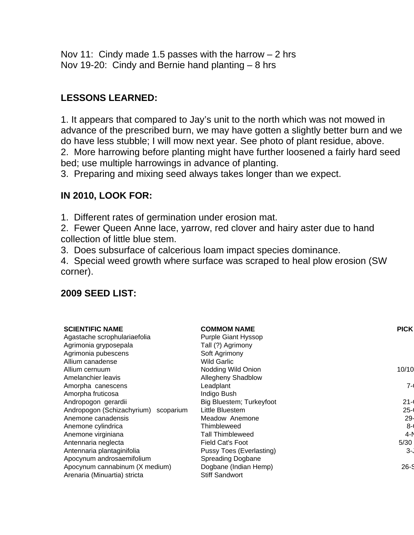Nov 11: Cindy made 1.5 passes with the harrow  $-2$  hrs Nov 19-20: Cindy and Bernie hand planting – 8 hrs

## **LESSONS LEARNED:**

1. It appears that compared to Jay's unit to the north which was not mowed in advance of the prescribed burn, we may have gotten a slightly better burn and we do have less stubble; I will mow next year. See photo of plant residue, above. 2. More harrowing before planting might have further loosened a fairly hard seed bed; use multiple harrowings in advance of planting.

3. Preparing and mixing seed always takes longer than we expect.

## **IN 2010, LOOK FOR:**

1. Different rates of germination under erosion mat.

- 2. Fewer Queen Anne lace, yarrow, red clover and hairy aster due to hand collection of little blue stem.
- 3. Does subsurface of calcerious loam impact species dominance.

4. Special weed growth where surface was scraped to heal plow erosion (SW corner).

### **2009 SEED LIST:**

| <b>SCIENTIFIC NAME</b>               | <b>COMMOM NAME</b>         | <b>PICK</b> |
|--------------------------------------|----------------------------|-------------|
| Agastache scrophulariaefolia         | <b>Purple Giant Hyssop</b> |             |
| Agrimonia gryposepala                | Tall (?) Agrimony          |             |
| Agrimonia pubescens                  | Soft Agrimony              |             |
| Allium canadense                     | <b>Wild Garlic</b>         |             |
| Allium cernuum                       | Nodding Wild Onion         | 10/10       |
| Amelanchier leavis                   | Allegheny Shadblow         |             |
| Amorpha canescens                    | Leadplant                  | 7-1         |
| Amorpha fruticosa                    | Indigo Bush                |             |
| Andropogon gerardii                  | Big Bluestem; Turkeyfoot   | $21 -$      |
| Andropogon (Schizachyrium) scoparium | Little Bluestem            | $25 -$      |
| Anemone canadensis                   | Meadow Anemone             | 29-         |
| Anemone cylindrica                   | Thimbleweed                | $8 - 1$     |
| Anemone virginiana                   | <b>Tall Thimbleweed</b>    | 4-N         |
| Antennaria neglecta                  | <b>Field Cat's Foot</b>    | 5/30        |
| Antennaria plantaginifolia           | Pussy Toes (Everlasting)   | 3-.         |
| Apocynum androsaemifolium            | <b>Spreading Dogbane</b>   |             |
| Apocynum cannabinum (X medium)       | Dogbane (Indian Hemp)      | $26 - S$    |
| Arenaria (Minuartia) stricta         | <b>Stiff Sandwort</b>      |             |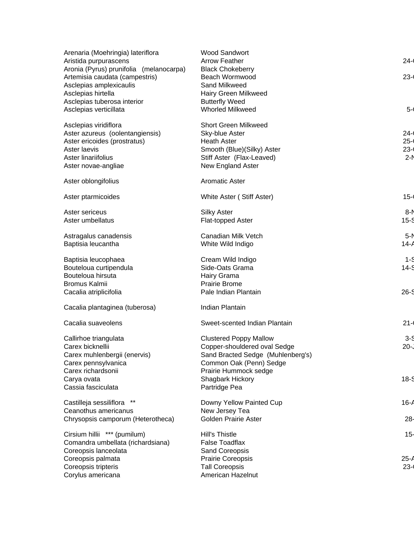| Arenaria (Moehringia) lateriflora<br>Aristida purpurascens                                           | <b>Wood Sandwort</b><br><b>Arrow Feather</b>               | $24 -$   |
|------------------------------------------------------------------------------------------------------|------------------------------------------------------------|----------|
| Aronia (Pyrus) prunifolia (melanocarpa)<br>Artemisia caudata (campestris)<br>Asclepias amplexicaulis | <b>Black Chokeberry</b><br>Beach Wormwood<br>Sand Milkweed | $23 - 1$ |
| Asclepias hirtella                                                                                   | Hairy Green Milkweed                                       |          |
| Asclepias tuberosa interior                                                                          | <b>Butterfly Weed</b>                                      |          |
| Asclepias verticillata                                                                               | <b>Whorled Milkweed</b>                                    | $5 -$    |
| Asclepias viridiflora                                                                                | <b>Short Green Milkweed</b>                                |          |
| Aster azureus (oolentangiensis)                                                                      | Sky-blue Aster                                             | $24 -$   |
| Aster ericoides (prostratus)                                                                         | <b>Heath Aster</b>                                         | $25 -$   |
| Aster laevis                                                                                         | Smooth (Blue)(Silky) Aster                                 | $23 - 1$ |
| Aster linariifolius<br>Aster novae-angliae                                                           | Stiff Aster (Flax-Leaved)<br>New England Aster             | $2-N$    |
|                                                                                                      |                                                            |          |
| Aster oblongifolius                                                                                  | <b>Aromatic Aster</b>                                      |          |
| Aster ptarmicoides                                                                                   | White Aster (Stiff Aster)                                  | $15 -$   |
| Aster sericeus                                                                                       | <b>Silky Aster</b>                                         | 8-N      |
| Aster umbellatus                                                                                     | Flat-topped Aster                                          | $15-5$   |
| Astragalus canadensis                                                                                | Canadian Milk Vetch                                        | $5-N$    |
| Baptisia leucantha                                                                                   | White Wild Indigo                                          | $14 - A$ |
| Baptisia leucophaea                                                                                  | Cream Wild Indigo                                          | $1 - 5$  |
| Bouteloua curtipendula                                                                               | Side-Oats Grama                                            | $14-5$   |
| Bouteloua hirsuta                                                                                    | Hairy Grama                                                |          |
| Bromus Kalmii                                                                                        | <b>Prairie Brome</b>                                       |          |
| Cacalia atriplicifolia                                                                               | Pale Indian Plantain                                       | $26 - S$ |
| Cacalia plantaginea (tuberosa)                                                                       | Indian Plantain                                            |          |
| Cacalia suaveolens                                                                                   | Sweet-scented Indian Plantain                              | $21 -$   |
| Callirhoe triangulata                                                                                | <b>Clustered Poppy Mallow</b>                              | 3-9      |
| Carex bicknellii                                                                                     | Copper-shouldered oval Sedge                               | $20 -$   |
| Carex muhlenbergii (enervis)                                                                         | Sand Bracted Sedge (Muhlenberg's)                          |          |
| Carex pennsylvanica                                                                                  | Common Oak (Penn) Sedge                                    |          |
| Carex richardsonii                                                                                   | Prairie Hummock sedge                                      |          |
| Carya ovata<br>Cassia fasciculata                                                                    | Shagbark Hickory<br>Partridge Pea                          | $18-5$   |
|                                                                                                      |                                                            |          |
| Castilleja sessiliflora                                                                              | Downy Yellow Painted Cup                                   | 16-A     |
| Ceanothus americanus<br>Chrysopsis camporum (Heterotheca)                                            | New Jersey Tea<br><b>Golden Prairie Aster</b>              | 28-      |
|                                                                                                      |                                                            |          |
| Cirsium hillii *** (pumilum)                                                                         | <b>Hill's Thistle</b>                                      | $15-$    |
| Comandra umbellata (richardsiana)                                                                    | <b>False Toadflax</b>                                      |          |
| Coreopsis lanceolata<br>Coreopsis palmata                                                            | Sand Coreopsis<br>Prairie Coreopsis                        | $25 - 1$ |
| Coreopsis tripteris                                                                                  | <b>Tall Coreopsis</b>                                      | $23 -$   |
| Corylus americana                                                                                    | American Hazelnut                                          |          |
|                                                                                                      |                                                            |          |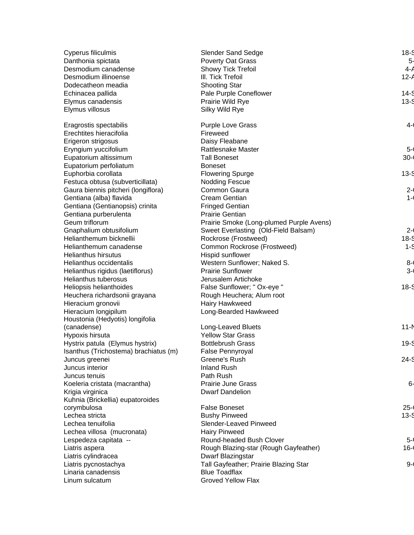| Cyperus filiculmis                    | <b>Slender Sand Sedge</b>                | $18-5$   |
|---------------------------------------|------------------------------------------|----------|
| Danthonia spictata                    | Poverty Oat Grass                        | $5-$     |
| Desmodium canadense                   | Showy Tick Trefoil                       | $4 - A$  |
| Desmodium illinoense                  | III. Tick Trefoil                        | $12 - A$ |
| Dodecatheon meadia                    | <b>Shooting Star</b>                     |          |
| Echinacea pallida                     | Pale Purple Coneflower                   | $14-S$   |
| Elymus canadensis                     | Prairie Wild Rye                         | $13-5$   |
| Elymus villosus                       | Silky Wild Rye                           |          |
| Eragrostis spectabilis                | <b>Purple Love Grass</b>                 | $4 - 1$  |
| Erechtites hieracifolia               | Fireweed                                 |          |
| Erigeron strigosus                    | Daisy Fleabane                           |          |
| Eryngium yuccifolium                  | <b>Rattlesnake Master</b>                | $5 -$    |
| Eupatorium altissimum                 | <b>Tall Boneset</b>                      | $30 - 1$ |
| Eupatorium perfoliatum                | <b>Boneset</b>                           |          |
| Euphorbia corollata                   | <b>Flowering Spurge</b>                  | $13-5$   |
| Festuca obtusa (subverticillata)      | <b>Nodding Fescue</b>                    |          |
| Gaura biennis pitcheri (longiflora)   | Common Gaura                             | $2 -$    |
| Gentiana (alba) flavida               | <b>Cream Gentian</b>                     | $1 - ($  |
| Gentiana (Gentianopsis) crinita       | <b>Fringed Gentian</b>                   |          |
| Gentiana purberulenta                 | <b>Prairie Gentian</b>                   |          |
| Geum triflorum                        | Prairie Smoke (Long-plumed Purple Avens) |          |
| Gnaphalium obtusifolium               | Sweet Everlasting (Old-Field Balsam)     | $2 -$    |
| Helianthemum bicknellii               | Rockrose (Frostweed)                     | $18-5$   |
| Helianthemum canadense                | Common Rockrose (Frostweed)              | $1 - 5$  |
| <b>Helianthus hirsutus</b>            | Hispid sunflower                         |          |
| Helianthus occidentalis               | Western Sunflower; Naked S.              | $8 - 6$  |
| Helianthus rigidus (laetiflorus)      | <b>Prairie Sunflower</b>                 | $3 - 1$  |
| <b>Helianthus tuberosus</b>           | Jerusalem Artichoke                      |          |
| Heliopsis helianthoides               | False Sunflower; " Ox-eye "              | $18-5$   |
| Heuchera richardsonii grayana         | Rough Heuchera; Alum root                |          |
| Hieracium gronovii                    | Hairy Hawkweed                           |          |
| Hieracium longipilum                  | Long-Bearded Hawkweed                    |          |
| Houstonia (Hedyotis) longifolia       |                                          |          |
| (canadense)                           | Long-Leaved Bluets                       | $11 - N$ |
| Hypoxis hirsuta                       | <b>Yellow Star Grass</b>                 |          |
| Hystrix patula (Elymus hystrix)       | <b>Bottlebrush Grass</b>                 | $19 - S$ |
| Isanthus (Trichostema) brachiatus (m) | False Pennyroyal                         |          |
| Juncus greenei                        | Greene's Rush                            | $24 - S$ |
| Juncus interior                       | <b>Inland Rush</b>                       |          |
| Juncus tenuis                         | Path Rush                                |          |
| Koeleria cristata (macrantha)         | <b>Prairie June Grass</b>                | 6-       |
| Krigia virginica                      | <b>Dwarf Dandelion</b>                   |          |
| Kuhnia (Brickellia) eupatoroides      |                                          |          |
| corymbulosa                           | <b>False Boneset</b>                     | $25 -$   |
| Lechea stricta                        | <b>Bushy Pinweed</b>                     | $13 - 5$ |
| Lechea tenuifolia                     | Slender-Leaved Pinweed                   |          |
| Lechea villosa (mucronata)            | <b>Hairy Pinweed</b>                     |          |
| Lespedeza capitata --                 | Round-headed Bush Clover                 | $5 - ($  |
| Liatris aspera                        | Rough Blazing-star (Rough Gayfeather)    | $16 - 1$ |
| Liatris cylindracea                   | Dwarf Blazingstar                        |          |
| Liatris pycnostachya                  | Tall Gayfeather; Prairie Blazing Star    | $9 - 1$  |
| Linaria canadensis                    | <b>Blue Toadflax</b>                     |          |
| Linum sulcatum                        | <b>Groved Yellow Flax</b>                |          |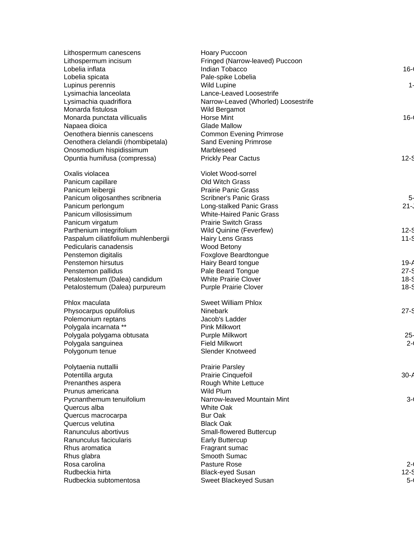| Lithospermum canescens              | Hoary Puccoon                       |          |
|-------------------------------------|-------------------------------------|----------|
| Lithospermum incisum                | Fringed (Narrow-leaved) Puccoon     |          |
| Lobelia inflata                     | Indian Tobacco                      | $16 - 1$ |
| Lobelia spicata                     | Pale-spike Lobelia                  |          |
| Lupinus perennis                    | <b>Wild Lupine</b>                  | 1-       |
| Lysimachia lanceolata               | Lance-Leaved Loosestrife            |          |
| Lysimachia quadriflora              | Narrow-Leaved (Whorled) Loosestrife |          |
| Monarda fistulosa                   | Wild Bergamot                       |          |
| Monarda punctata villicualis        | <b>Horse Mint</b>                   | $16 -$   |
| Napaea dioica                       | <b>Glade Mallow</b>                 |          |
| Oenothera biennis canescens         | <b>Common Evening Primrose</b>      |          |
| Oenothera clelandii (rhombipetala)  | Sand Evening Primrose               |          |
| Onosmodium hispidissimum            | Marbleseed                          |          |
| Opuntia humifusa (compressa)        | <b>Prickly Pear Cactus</b>          | $12-5$   |
| Oxalis violacea                     | Violet Wood-sorrel                  |          |
| Panicum capillare                   | <b>Old Witch Grass</b>              |          |
| Panicum leibergii                   | <b>Prairie Panic Grass</b>          |          |
| Panicum oligosanthes scribneria     | <b>Scribner's Panic Grass</b>       | 5-       |
| Panicum perlongum                   | Long-stalked Panic Grass            | $21 -$   |
| Panicum villosissimum               | <b>White-Haired Panic Grass</b>     |          |
| Panicum virgatum                    | <b>Prairie Switch Grass</b>         |          |
| Parthenium integrifolium            | Wild Quinine (Feverfew)             | $12-5$   |
| Paspalum ciliatifolium muhlenbergii | <b>Hairy Lens Grass</b>             | $11 - S$ |
| Pedicularis canadensis              | Wood Betony                         |          |
| Penstemon digitalis                 | Foxglove Beardtongue                |          |
| Penstemon hirsutus                  | Hairy Beard tongue                  | $19 - A$ |
| Penstemon pallidus                  | Pale Beard Tongue                   | $27 - 9$ |
| Petalostemum (Dalea) candidum       | <b>White Prairie Clover</b>         | $18-5$   |
| Petalostemum (Dalea) purpureum      | <b>Purple Prairie Clover</b>        | $18-5$   |
| Phlox maculata                      | <b>Sweet William Phlox</b>          |          |
| Physocarpus opulifolius             | Ninebark                            | $27 - S$ |
| Polemonium reptans                  | Jacob's Ladder                      |          |
| Polygala incarnata **               | <b>Pink Milkwort</b>                |          |
| Polygala polygama obtusata          | Purple Milkwort                     | $25 -$   |
| Polygala sanguinea                  | <b>Field Milkwort</b>               | $2 - 1$  |
| Polygonum tenue                     | Slender Knotweed                    |          |
| Polytaenia nuttallii                | <b>Prairie Parsley</b>              |          |
| Potentilla arguta                   | Prairie Cinquefoil                  | 30-A     |
| Prenanthes aspera                   | Rough White Lettuce                 |          |
| Prunus americana                    | Wild Plum                           |          |
| Pycnanthemum tenuifolium            | Narrow-leaved Mountain Mint         | $3 - 1$  |
| Quercus alba                        | <b>White Oak</b>                    |          |
| Quercus macrocarpa                  | <b>Bur Oak</b>                      |          |
| Quercus velutina                    | <b>Black Oak</b>                    |          |
| Ranunculus abortivus                | Small-flowered Buttercup            |          |
| Ranunculus facicularis              | <b>Early Buttercup</b>              |          |
| Rhus aromatica                      | Fragrant sumac                      |          |
| Rhus glabra                         | Smooth Sumac                        |          |
| Rosa carolina                       | Pasture Rose                        | $2 - 1$  |
| Rudbeckia hirta                     | <b>Black-eyed Susan</b>             | $12 - 5$ |
| Rudbeckia subtomentosa              | Sweet Blackeyed Susan               | $5-$     |